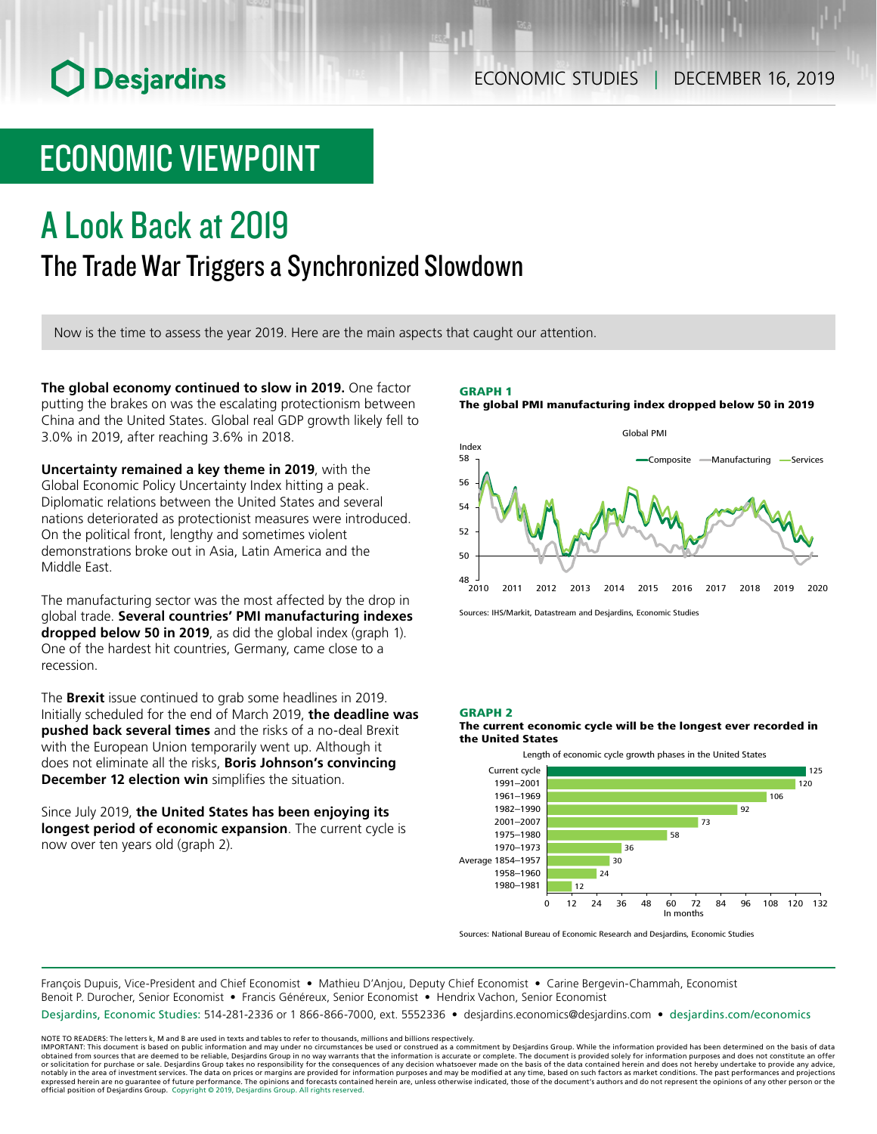# O Desjardins

## ECONOMIC STUDIES | DECEMBER 16, 2019

# ECONOMIC VIEWPOINT

# A Look Back at 2019 The Trade War Triggers a Synchronized Slowdown

Now is the time to assess the year 2019. Here are the main aspects that caught our attention.

**The global economy continued to slow in 2019.** One factor putting the brakes on was the escalating protectionism between China and the United States. Global real GDP growth likely fell to 3.0% in 2019, after reaching 3.6% in 2018.

**Uncertainty remained a key theme in 2019**, with the Global Economic Policy Uncertainty Index hitting a peak. Diplomatic relations between the United States and several nations deteriorated as protectionist measures were introduced. On the political front, lengthy and sometimes violent demonstrations broke out in Asia, Latin America and the Middle East.

The manufacturing sector was the most affected by the drop in global trade. **Several countries' PMI manufacturing indexes dropped below 50 in 2019**, as did the global index (graph 1). One of the hardest hit countries, Germany, came close to a recession.

The **Brexit** issue continued to grab some headlines in 2019. Initially scheduled for the end of March 2019, **the deadline was pushed back several times** and the risks of a no-deal Brexit with the European Union temporarily went up. Although it does not eliminate all the risks, **Boris Johnson's convincing December 12 election win** simplifies the situation.

Since July 2019, **the United States has been enjoying its longest period of economic expansion**. The current cycle is now over ten years old (graph 2).

GRAPH 1 The global PMI manufacturing index dropped below 50 in 2019



Sources: IHS/Markit, Datastream and Desjardins, Economic Studies

### GRAPH 2

The current economic cycle will be the longest ever recorded in the United States



Sources: National Bureau of Economic Research and Desjardins, Economic Studies

François Dupuis, Vice-President and Chief Economist • Mathieu D'Anjou, Deputy Chief Economist • Carine Bergevin-Chammah, Economist Benoit P. Durocher, Senior Economist • Francis Généreux, Senior Economist • Hendrix Vachon, Senior Economist

Desjardins, Economic Studies: 514-281-2336 or 1 866-866-7000, ext. 5552336 • desjardins.economics@desjardins.com • [desjardins.com/economics](http://desjardins.com/economics)

NOTE TO READERS: The letters k, M and B are used in texts and tables to refer to thousands, millions and billions respectively.<br>IMPORTANT: This document is based on public information and may under no circumstances be used obtained from sources that are deemed to be reliable, Desjardins Group in no way warrants that the information is accurate or complete. The document is provided solely for information purposes and does not constitute an of expressed herein are no guarantee of future performance. The opinions and forecasts contained herein are, unless otherwise indicated, those of the document's authors and do not represent the opinions of any other person or official position of Desjardins Group. Copyright © 2019, Desjardins Group. All rights reserved.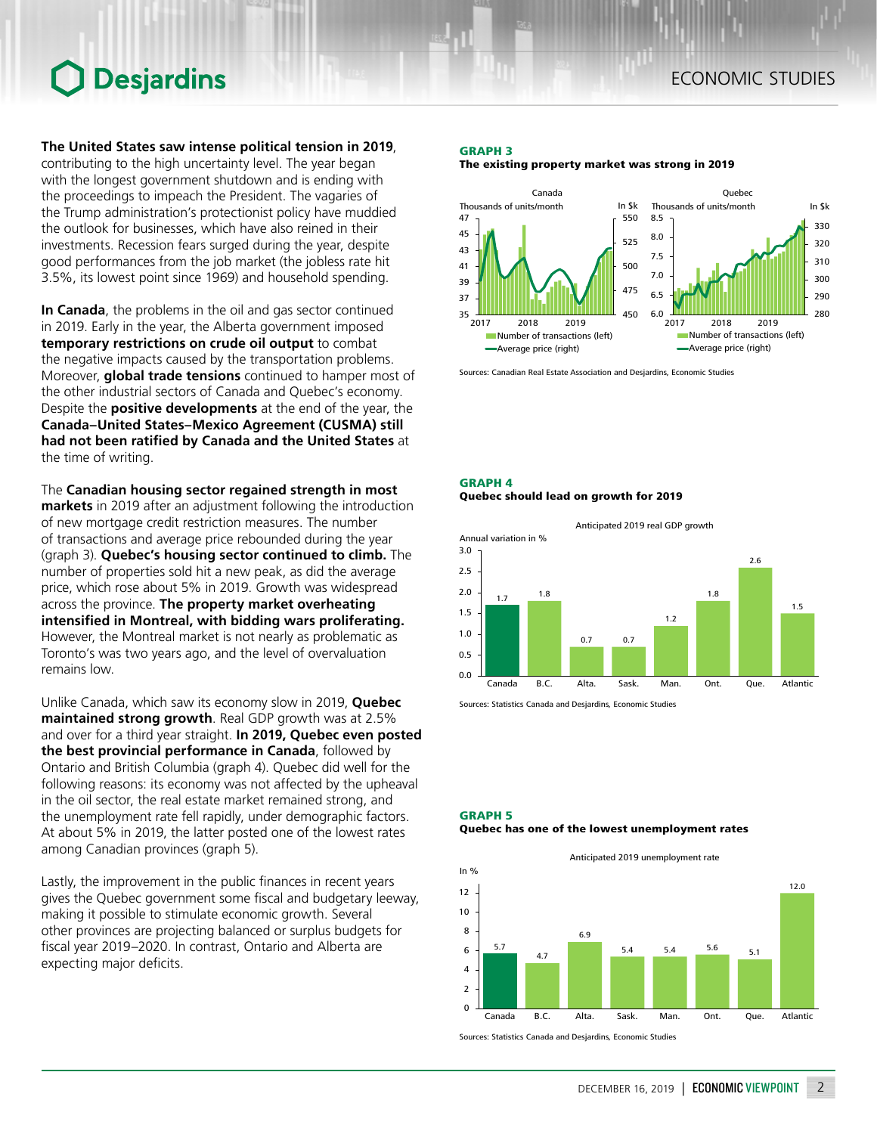# Desjardins

**The United States saw intense political tension in 2019**, contributing to the high uncertainty level. The year began with the longest government shutdown and is ending with the proceedings to impeach the President. The vagaries of the Trump administration's protectionist policy have muddied the outlook for businesses, which have also reined in their investments. Recession fears surged during the year, despite good performances from the job market (the jobless rate hit 3.5%, its lowest point since 1969) and household spending.

**In Canada**, the problems in the oil and gas sector continued in 2019. Early in the year, the Alberta government imposed **temporary restrictions on crude oil output** to combat the negative impacts caused by the transportation problems. Moreover, **global trade tensions** continued to hamper most of the other industrial sectors of Canada and Quebec's economy. Despite the **positive developments** at the end of the year, the **Canada–United States–Mexico Agreement (CUSMA) still had not been ratified by Canada and the United States** at the time of writing.

The **Canadian housing sector regained strength in most markets** in 2019 after an adjustment following the introduction of new mortgage credit restriction measures. The number of transactions and average price rebounded during the year (graph 3). **Quebec's housing sector continued to climb.** The number of properties sold hit a new peak, as did the average price, which rose about 5% in 2019. Growth was widespread across the province. **The property market overheating intensified in Montreal, with bidding wars proliferating.** However, the Montreal market is not nearly as problematic as Toronto's was two years ago, and the level of overvaluation remains low.

Unlike Canada, which saw its economy slow in 2019, **Quebec maintained strong growth**. Real GDP growth was at 2.5% and over for a third year straight. **In 2019, Quebec even posted the best provincial performance in Canada**, followed by Ontario and British Columbia (graph 4). Quebec did well for the following reasons: its economy was not affected by the upheaval in the oil sector, the real estate market remained strong, and the unemployment rate fell rapidly, under demographic factors. At about 5% in 2019, the latter posted one of the lowest rates among Canadian provinces (graph 5).

Lastly, the improvement in the public finances in recent years gives the Quebec government some fiscal and budgetary leeway, making it possible to stimulate economic growth. Several other provinces are projecting balanced or surplus budgets for fiscal year 2019–2020. In contrast, Ontario and Alberta are expecting major deficits.

### GRAPH 3

The existing property market was strong in 2019



Sources: Canadian Real Estate Association and Desjardins, Economic Studies

### GRAPH 4 Quebec should lead on growth for 2019



Sources: Statistics Canada and Desjardins, Economic Studies

#### GRAPH 5

#### Quebec has one of the lowest unemployment rates

Anticipated 2019 unemployment rate



Sources: Statistics Canada and Desjardins, Economic Studies